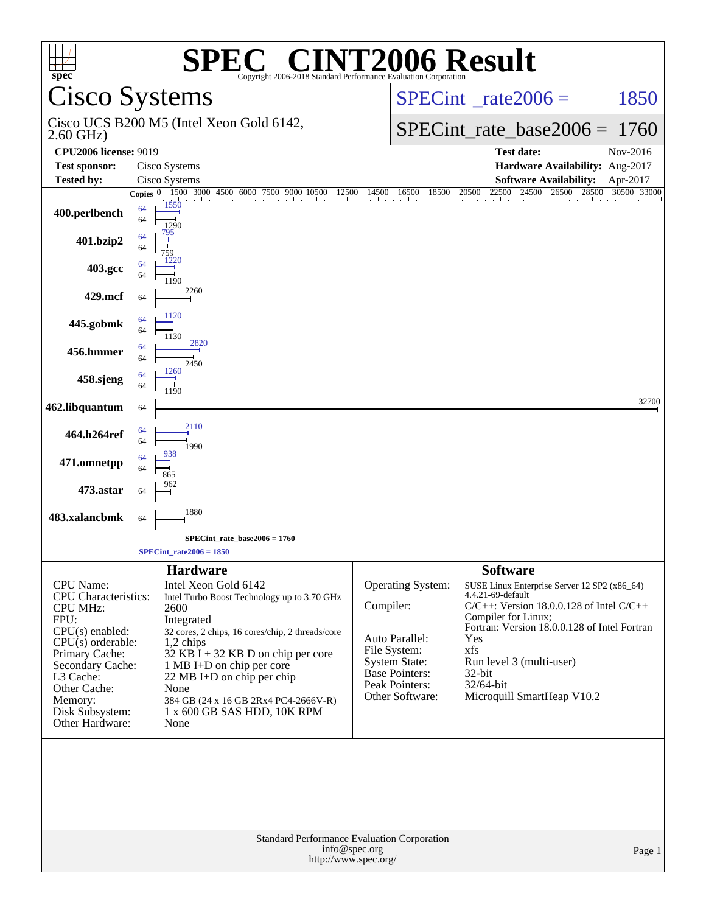| <b>SPEC<sup>®</sup> CINT2006 Result</b><br>$spec^*$<br>Copyright 2006-2018 Standard Performance Evaluation Corporation                                                                                                            |                                                 |                                                                                                                                                                                                                                                                                                                                                 |                                                                                                                                                        |                                                                                                                                                                                                                                                                                                           |                         |  |
|-----------------------------------------------------------------------------------------------------------------------------------------------------------------------------------------------------------------------------------|-------------------------------------------------|-------------------------------------------------------------------------------------------------------------------------------------------------------------------------------------------------------------------------------------------------------------------------------------------------------------------------------------------------|--------------------------------------------------------------------------------------------------------------------------------------------------------|-----------------------------------------------------------------------------------------------------------------------------------------------------------------------------------------------------------------------------------------------------------------------------------------------------------|-------------------------|--|
| <b>Cisco Systems</b>                                                                                                                                                                                                              |                                                 |                                                                                                                                                                                                                                                                                                                                                 |                                                                                                                                                        | $SPECint^{\circ}$ rate $2006 =$                                                                                                                                                                                                                                                                           | 1850                    |  |
| $2.60$ GHz)                                                                                                                                                                                                                       |                                                 | Cisco UCS B200 M5 (Intel Xeon Gold 6142,                                                                                                                                                                                                                                                                                                        |                                                                                                                                                        | $SPECint_rate\_base2006 =$                                                                                                                                                                                                                                                                                | 1760                    |  |
| <b>CPU2006 license: 9019</b>                                                                                                                                                                                                      |                                                 |                                                                                                                                                                                                                                                                                                                                                 |                                                                                                                                                        | <b>Test date:</b>                                                                                                                                                                                                                                                                                         | Nov-2016                |  |
| <b>Test sponsor:</b>                                                                                                                                                                                                              | Cisco Systems                                   |                                                                                                                                                                                                                                                                                                                                                 |                                                                                                                                                        | Hardware Availability: Aug-2017                                                                                                                                                                                                                                                                           |                         |  |
| <b>Tested by:</b>                                                                                                                                                                                                                 | Cisco Systems                                   | 1500 3000 4500 6000 7500<br>12500<br>9000<br>10500                                                                                                                                                                                                                                                                                              | 16500 18500 20500<br>14500                                                                                                                             | <b>Software Availability:</b><br>22500<br>28500<br>24500<br>26500                                                                                                                                                                                                                                         | Apr-2017<br>30500 33000 |  |
| 400.perlbench                                                                                                                                                                                                                     | Copies $ 0 $<br>1550<br>64<br>64<br>1290<br>795 | . גוויר ביותר ביותר ביותר ביותר ביותר ביותר ביותר ביותר ביותר ביותר ביותר ביותר ביותר ביותר ביותר ביותר ביותר                                                                                                                                                                                                                                   |                                                                                                                                                        |                                                                                                                                                                                                                                                                                                           |                         |  |
| 401.bzip2                                                                                                                                                                                                                         | 64<br>64<br>759<br>122                          |                                                                                                                                                                                                                                                                                                                                                 |                                                                                                                                                        |                                                                                                                                                                                                                                                                                                           |                         |  |
| 403.gcc                                                                                                                                                                                                                           | 64<br>64<br>1190                                |                                                                                                                                                                                                                                                                                                                                                 |                                                                                                                                                        |                                                                                                                                                                                                                                                                                                           |                         |  |
| 429.mcf                                                                                                                                                                                                                           | 64                                              | 2260                                                                                                                                                                                                                                                                                                                                            |                                                                                                                                                        |                                                                                                                                                                                                                                                                                                           |                         |  |
| 445.gobmk                                                                                                                                                                                                                         | 1120<br>64<br>64<br>1130                        |                                                                                                                                                                                                                                                                                                                                                 |                                                                                                                                                        |                                                                                                                                                                                                                                                                                                           |                         |  |
| 456.hmmer                                                                                                                                                                                                                         | 64<br>64                                        | 2820<br>2450                                                                                                                                                                                                                                                                                                                                    |                                                                                                                                                        |                                                                                                                                                                                                                                                                                                           |                         |  |
| 458.sjeng                                                                                                                                                                                                                         | 1260<br>64<br>64<br>1190                        |                                                                                                                                                                                                                                                                                                                                                 |                                                                                                                                                        |                                                                                                                                                                                                                                                                                                           |                         |  |
| 462.libquantum                                                                                                                                                                                                                    | 64                                              |                                                                                                                                                                                                                                                                                                                                                 |                                                                                                                                                        |                                                                                                                                                                                                                                                                                                           | 32700                   |  |
| 464.h264ref                                                                                                                                                                                                                       | 64<br>64                                        | 2110<br>1990                                                                                                                                                                                                                                                                                                                                    |                                                                                                                                                        |                                                                                                                                                                                                                                                                                                           |                         |  |
| 471.omnetpp                                                                                                                                                                                                                       | 938<br>64<br>64<br>865                          |                                                                                                                                                                                                                                                                                                                                                 |                                                                                                                                                        |                                                                                                                                                                                                                                                                                                           |                         |  |
| 473.astar                                                                                                                                                                                                                         | 962<br>64                                       |                                                                                                                                                                                                                                                                                                                                                 |                                                                                                                                                        |                                                                                                                                                                                                                                                                                                           |                         |  |
| 483.xalancbmk                                                                                                                                                                                                                     | 64                                              | 1880                                                                                                                                                                                                                                                                                                                                            |                                                                                                                                                        |                                                                                                                                                                                                                                                                                                           |                         |  |
|                                                                                                                                                                                                                                   |                                                 | SPECint_rate_base2006 = 1760                                                                                                                                                                                                                                                                                                                    |                                                                                                                                                        |                                                                                                                                                                                                                                                                                                           |                         |  |
|                                                                                                                                                                                                                                   |                                                 | $SPECint_rate2006 = 1850$                                                                                                                                                                                                                                                                                                                       |                                                                                                                                                        |                                                                                                                                                                                                                                                                                                           |                         |  |
| CPU Name:<br><b>CPU</b> Characteristics:<br><b>CPU MHz:</b><br>FPU:<br>CPU(s) enabled:<br>$CPU(s)$ orderable:<br>Primary Cache:<br>Secondary Cache:<br>L3 Cache:<br>Other Cache:<br>Memory:<br>Disk Subsystem:<br>Other Hardware: | 2600<br>None<br>None                            | <b>Hardware</b><br>Intel Xeon Gold 6142<br>Intel Turbo Boost Technology up to 3.70 GHz<br>Integrated<br>32 cores, 2 chips, 16 cores/chip, 2 threads/core<br>1,2 chips<br>$32$ KB I + 32 KB D on chip per core<br>1 MB I+D on chip per core<br>22 MB I+D on chip per chip<br>384 GB (24 x 16 GB 2Rx4 PC4-2666V-R)<br>1 x 600 GB SAS HDD, 10K RPM | Operating System:<br>Compiler:<br>Auto Parallel:<br>File System:<br><b>System State:</b><br><b>Base Pointers:</b><br>Peak Pointers:<br>Other Software: | <b>Software</b><br>SUSE Linux Enterprise Server 12 SP2 (x86_64)<br>4.4.21-69-default<br>C/C++: Version 18.0.0.128 of Intel C/C++<br>Compiler for Linux;<br>Fortran: Version 18.0.0.128 of Intel Fortran<br>Yes<br>xfs<br>Run level 3 (multi-user)<br>$32$ -bit<br>32/64-bit<br>Microquill SmartHeap V10.2 |                         |  |
| Standard Performance Evaluation Corporation<br>info@spec.org<br>Page 1<br>http://www.spec.org/                                                                                                                                    |                                                 |                                                                                                                                                                                                                                                                                                                                                 |                                                                                                                                                        |                                                                                                                                                                                                                                                                                                           |                         |  |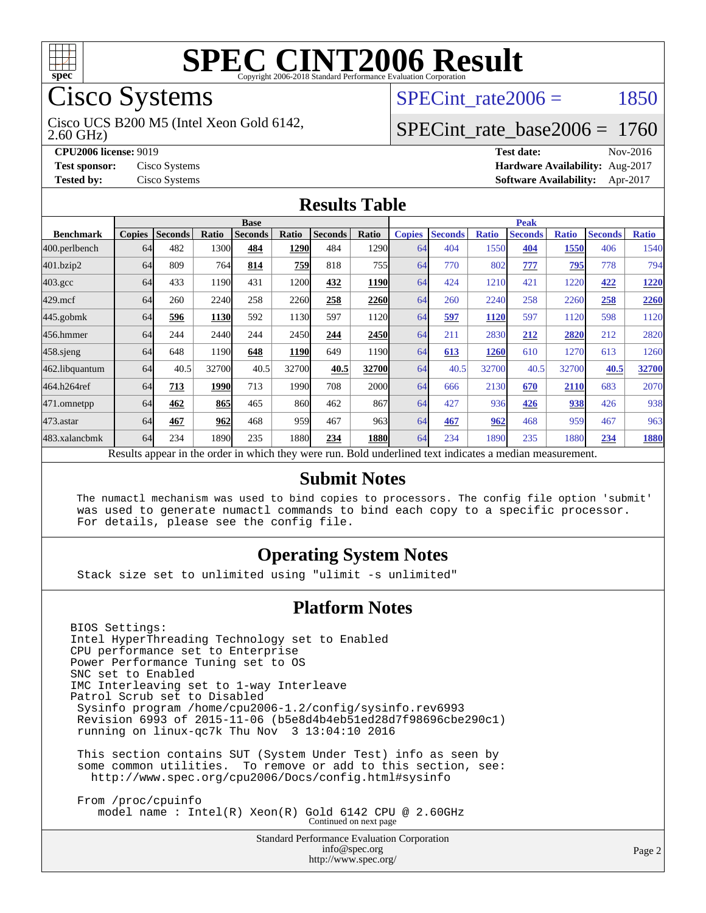

# Cisco Systems

2.60 GHz) Cisco UCS B200 M5 (Intel Xeon Gold 6142,

SPECint rate $2006 = 1850$ 

### [SPECint\\_rate\\_base2006 =](http://www.spec.org/auto/cpu2006/Docs/result-fields.html#SPECintratebase2006) 1760

**[CPU2006 license:](http://www.spec.org/auto/cpu2006/Docs/result-fields.html#CPU2006license)** 9019 **[Test date:](http://www.spec.org/auto/cpu2006/Docs/result-fields.html#Testdate)** Nov-2016 **[Test sponsor:](http://www.spec.org/auto/cpu2006/Docs/result-fields.html#Testsponsor)** Cisco Systems **[Hardware Availability:](http://www.spec.org/auto/cpu2006/Docs/result-fields.html#HardwareAvailability)** Aug-2017 **[Tested by:](http://www.spec.org/auto/cpu2006/Docs/result-fields.html#Testedby)** Cisco Systems **[Software Availability:](http://www.spec.org/auto/cpu2006/Docs/result-fields.html#SoftwareAvailability)** Apr-2017

#### **[Results Table](http://www.spec.org/auto/cpu2006/Docs/result-fields.html#ResultsTable)**

|                                                                                                          | <b>Base</b>   |                |       |                |       |                | <b>Peak</b> |               |                |              |                |              |                |              |
|----------------------------------------------------------------------------------------------------------|---------------|----------------|-------|----------------|-------|----------------|-------------|---------------|----------------|--------------|----------------|--------------|----------------|--------------|
| <b>Benchmark</b>                                                                                         | <b>Copies</b> | <b>Seconds</b> | Ratio | <b>Seconds</b> | Ratio | <b>Seconds</b> | Ratio       | <b>Copies</b> | <b>Seconds</b> | <b>Ratio</b> | <b>Seconds</b> | <b>Ratio</b> | <b>Seconds</b> | <b>Ratio</b> |
| 400.perlbench                                                                                            | 64            | 482            | 1300  | 484            | 1290  | 484            | 1290        | 64            | 404            | 1550         | 404            | 1550         | 406            | 1540         |
| 401.bzip2                                                                                                | 64            | 809            | 764   | 814            | 759   | 818            | 755         | 64            | 770            | 802          | 777            | <u>795</u>   | 778            | 794          |
| $403.\mathrm{gcc}$                                                                                       | 64            | 433            | 1190  | 431            | 1200  | 432            | 1190        | 64            | 424            | 1210         | 421            | 1220         | 422            | 1220         |
| $429$ .mcf                                                                                               | 64            | 260            | 2240  | 258            | 2260  | 258            | 2260        | 64            | 260            | 2240         | 258            | 2260         | 258            | 2260         |
| $445$ .gobmk                                                                                             | 64            | <u>596</u>     | 1130  | 592            | 1130  | 597            | 1120        | 64            | 597            | 1120         | 597            | 1120         | 598            | 1120         |
| 456.hmmer                                                                                                | 64            | 244            | 2440  | 244            | 2450  | 244            | 2450        | 64            | 211            | 2830         | 212            | 2820         | 212            | 2820         |
| $458$ .sjeng                                                                                             | 64            | 648            | 1190  | 648            | 1190  | 649            | 1190        | 64            | 613            | 1260         | 610            | 1270         | 613            | 1260         |
| 462.libquantum                                                                                           | 64            | 40.5           | 32700 | 40.5           | 32700 | 40.5           | 32700       | 64            | 40.5           | 32700        | 40.5           | 32700        | 40.5           | 32700        |
| 464.h264ref                                                                                              | 64            | 713            | 1990  | 713            | 1990  | 708            | 2000l       | 64            | 666            | 2130         | 670            | 2110         | 683            | 2070         |
| 471.omnetpp                                                                                              | 64            | 462            | 865   | 465            | 860   | 462            | 867         | 64            | 427            | 936          | 426            | 938          | 426            | 938          |
| 473.astar                                                                                                | 64            | 467            | 962   | 468            | 959   | 467            | 963         | 64            | 467            | 962          | 468            | 959          | 467            | 963          |
| 483.xalancbmk                                                                                            | 64            | 234            | 1890  | 235            | 1880  | 234            | <b>1880</b> | 64            | 234            | 1890         | 235            | 1880         | 234            | 1880         |
| Results appear in the order in which they were run. Bold underlined text indicates a median measurement. |               |                |       |                |       |                |             |               |                |              |                |              |                |              |

#### **[Submit Notes](http://www.spec.org/auto/cpu2006/Docs/result-fields.html#SubmitNotes)**

 The numactl mechanism was used to bind copies to processors. The config file option 'submit' was used to generate numactl commands to bind each copy to a specific processor. For details, please see the config file.

#### **[Operating System Notes](http://www.spec.org/auto/cpu2006/Docs/result-fields.html#OperatingSystemNotes)**

Stack size set to unlimited using "ulimit -s unlimited"

#### **[Platform Notes](http://www.spec.org/auto/cpu2006/Docs/result-fields.html#PlatformNotes)**

BIOS Settings: Intel HyperThreading Technology set to Enabled CPU performance set to Enterprise Power Performance Tuning set to OS SNC set to Enabled IMC Interleaving set to 1-way Interleave Patrol Scrub set to Disabled Sysinfo program /home/cpu2006-1.2/config/sysinfo.rev6993 Revision 6993 of 2015-11-06 (b5e8d4b4eb51ed28d7f98696cbe290c1) running on linux-qc7k Thu Nov 3 13:04:10 2016 This section contains SUT (System Under Test) info as seen by some common utilities. To remove or add to this section, see: <http://www.spec.org/cpu2006/Docs/config.html#sysinfo> From /proc/cpuinfo

model name : Intel(R) Xeon(R) Gold 6142 CPU @ 2.60GHz Continued on next page

Standard Performance Evaluation Corporation [info@spec.org](mailto:info@spec.org) <http://www.spec.org/>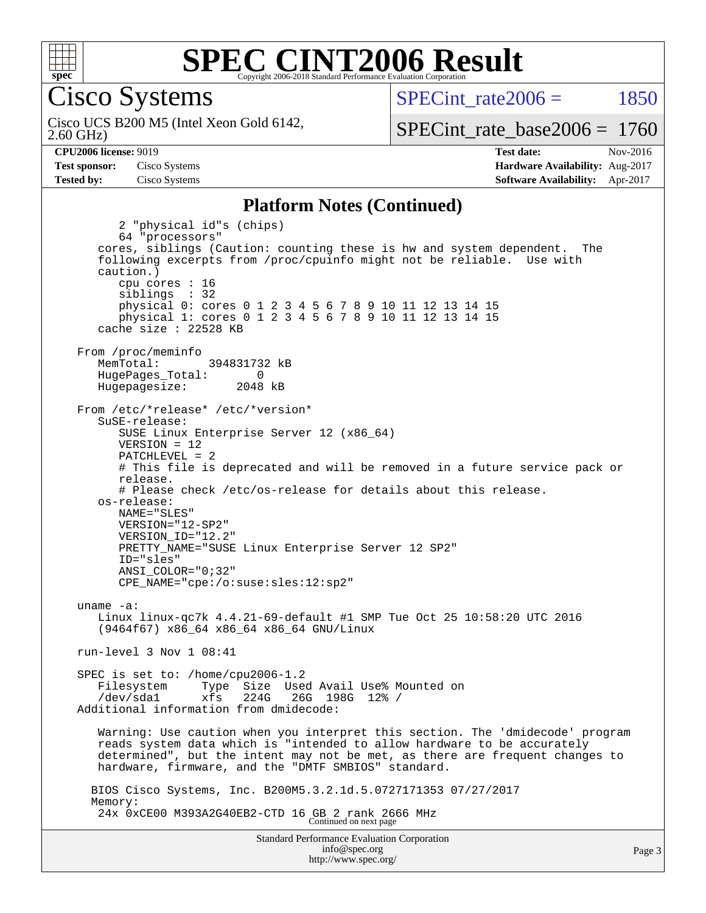

Cisco Systems

2.60 GHz) Cisco UCS B200 M5 (Intel Xeon Gold 6142, SPECint rate $2006 = 1850$ 

[SPECint\\_rate\\_base2006 =](http://www.spec.org/auto/cpu2006/Docs/result-fields.html#SPECintratebase2006) 1760

**[CPU2006 license:](http://www.spec.org/auto/cpu2006/Docs/result-fields.html#CPU2006license)** 9019 **[Test date:](http://www.spec.org/auto/cpu2006/Docs/result-fields.html#Testdate)** Nov-2016 **[Test sponsor:](http://www.spec.org/auto/cpu2006/Docs/result-fields.html#Testsponsor)** Cisco Systems **[Hardware Availability:](http://www.spec.org/auto/cpu2006/Docs/result-fields.html#HardwareAvailability)** Aug-2017 **[Tested by:](http://www.spec.org/auto/cpu2006/Docs/result-fields.html#Testedby)** Cisco Systems **[Software Availability:](http://www.spec.org/auto/cpu2006/Docs/result-fields.html#SoftwareAvailability)** Apr-2017

#### **[Platform Notes \(Continued\)](http://www.spec.org/auto/cpu2006/Docs/result-fields.html#PlatformNotes)**

Standard Performance Evaluation Corporation 2 "physical id"s (chips) 64 "processors" cores, siblings (Caution: counting these is hw and system dependent. The following excerpts from /proc/cpuinfo might not be reliable. Use with caution.) cpu cores : 16 siblings : 32 physical 0: cores 0 1 2 3 4 5 6 7 8 9 10 11 12 13 14 15 physical 1: cores 0 1 2 3 4 5 6 7 8 9 10 11 12 13 14 15 cache size : 22528 KB From /proc/meminfo MemTotal: 394831732 kB HugePages\_Total: 0<br>Hugepagesize: 2048 kB Hugepagesize: From /etc/\*release\* /etc/\*version\* SuSE-release: SUSE Linux Enterprise Server 12 (x86\_64) VERSION = 12 PATCHLEVEL = 2 # This file is deprecated and will be removed in a future service pack or release. # Please check /etc/os-release for details about this release. os-release: NAME="SLES" VERSION="12-SP2" VERSION\_ID="12.2" PRETTY\_NAME="SUSE Linux Enterprise Server 12 SP2" ID="sles" ANSI\_COLOR="0;32" CPE\_NAME="cpe:/o:suse:sles:12:sp2" uname -a: Linux linux-qc7k 4.4.21-69-default #1 SMP Tue Oct 25 10:58:20 UTC 2016 (9464f67) x86\_64 x86\_64 x86\_64 GNU/Linux run-level 3 Nov 1 08:41 SPEC is set to: /home/cpu2006-1.2 Filesystem Type Size Used Avail Use% Mounted on /dev/sda1 xfs 224G 26G 198G 12% / Additional information from dmidecode: Warning: Use caution when you interpret this section. The 'dmidecode' program reads system data which is "intended to allow hardware to be accurately determined", but the intent may not be met, as there are frequent changes to hardware, firmware, and the "DMTF SMBIOS" standard. BIOS Cisco Systems, Inc. B200M5.3.2.1d.5.0727171353 07/27/2017 Memory: 24x 0xCE00 M393A2G40EB2-CTD 16 GB 2 rank 2666 MHz Continued on next page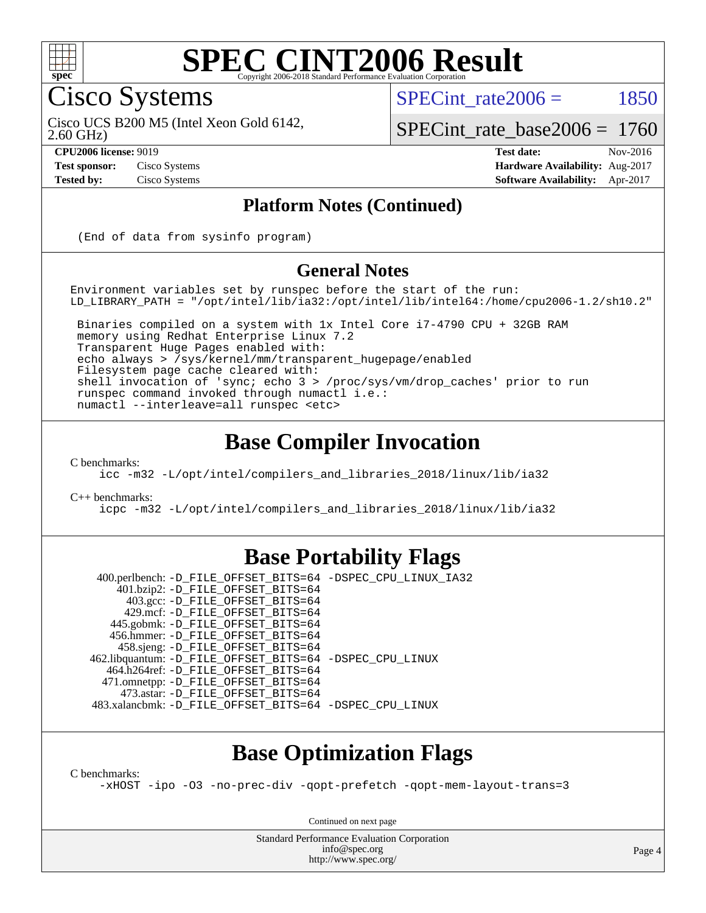

#### **[SPEC CINT2006 Result](http://www.spec.org/auto/cpu2006/Docs/result-fields.html#SPECCINT2006Result)** Copyright 2006-2018 Standard Performance Evaluation C

Cisco Systems

SPECint rate $2006 = 1850$ 

2.60 GHz) Cisco UCS B200 M5 (Intel Xeon Gold 6142,

[SPECint\\_rate\\_base2006 =](http://www.spec.org/auto/cpu2006/Docs/result-fields.html#SPECintratebase2006) 1760

**[CPU2006 license:](http://www.spec.org/auto/cpu2006/Docs/result-fields.html#CPU2006license)** 9019 **[Test date:](http://www.spec.org/auto/cpu2006/Docs/result-fields.html#Testdate)** Nov-2016 **[Test sponsor:](http://www.spec.org/auto/cpu2006/Docs/result-fields.html#Testsponsor)** Cisco Systems **[Hardware Availability:](http://www.spec.org/auto/cpu2006/Docs/result-fields.html#HardwareAvailability)** Aug-2017 **[Tested by:](http://www.spec.org/auto/cpu2006/Docs/result-fields.html#Testedby)** Cisco Systems **[Software Availability:](http://www.spec.org/auto/cpu2006/Docs/result-fields.html#SoftwareAvailability)** Apr-2017

#### **[Platform Notes \(Continued\)](http://www.spec.org/auto/cpu2006/Docs/result-fields.html#PlatformNotes)**

(End of data from sysinfo program)

#### **[General Notes](http://www.spec.org/auto/cpu2006/Docs/result-fields.html#GeneralNotes)**

Environment variables set by runspec before the start of the run: LD\_LIBRARY\_PATH = "/opt/intel/lib/ia32:/opt/intel/lib/intel64:/home/cpu2006-1.2/sh10.2"

 Binaries compiled on a system with 1x Intel Core i7-4790 CPU + 32GB RAM memory using Redhat Enterprise Linux 7.2 Transparent Huge Pages enabled with: echo always > /sys/kernel/mm/transparent\_hugepage/enabled Filesystem page cache cleared with: shell invocation of 'sync; echo 3 > /proc/sys/vm/drop\_caches' prior to run runspec command invoked through numactl i.e.: numactl --interleave=all runspec <etc>

### **[Base Compiler Invocation](http://www.spec.org/auto/cpu2006/Docs/result-fields.html#BaseCompilerInvocation)**

[C benchmarks](http://www.spec.org/auto/cpu2006/Docs/result-fields.html#Cbenchmarks):

[icc -m32 -L/opt/intel/compilers\\_and\\_libraries\\_2018/linux/lib/ia32](http://www.spec.org/cpu2006/results/res2017q4/cpu2006-20171211-50987.flags.html#user_CCbase_intel_icc_04f59596a08f358effe90d044cbb175f)

[C++ benchmarks:](http://www.spec.org/auto/cpu2006/Docs/result-fields.html#CXXbenchmarks)

[icpc -m32 -L/opt/intel/compilers\\_and\\_libraries\\_2018/linux/lib/ia32](http://www.spec.org/cpu2006/results/res2017q4/cpu2006-20171211-50987.flags.html#user_CXXbase_intel_icpc_6c160d62a51f1e5feef3a5e8eb2cd87e)

#### **[Base Portability Flags](http://www.spec.org/auto/cpu2006/Docs/result-fields.html#BasePortabilityFlags)**

 400.perlbench: [-D\\_FILE\\_OFFSET\\_BITS=64](http://www.spec.org/cpu2006/results/res2017q4/cpu2006-20171211-50987.flags.html#user_basePORTABILITY400_perlbench_file_offset_bits_64_438cf9856305ebd76870a2c6dc2689ab) [-DSPEC\\_CPU\\_LINUX\\_IA32](http://www.spec.org/cpu2006/results/res2017q4/cpu2006-20171211-50987.flags.html#b400.perlbench_baseCPORTABILITY_DSPEC_CPU_LINUX_IA32) 401.bzip2: [-D\\_FILE\\_OFFSET\\_BITS=64](http://www.spec.org/cpu2006/results/res2017q4/cpu2006-20171211-50987.flags.html#user_basePORTABILITY401_bzip2_file_offset_bits_64_438cf9856305ebd76870a2c6dc2689ab) 403.gcc: [-D\\_FILE\\_OFFSET\\_BITS=64](http://www.spec.org/cpu2006/results/res2017q4/cpu2006-20171211-50987.flags.html#user_basePORTABILITY403_gcc_file_offset_bits_64_438cf9856305ebd76870a2c6dc2689ab) 429.mcf: [-D\\_FILE\\_OFFSET\\_BITS=64](http://www.spec.org/cpu2006/results/res2017q4/cpu2006-20171211-50987.flags.html#user_basePORTABILITY429_mcf_file_offset_bits_64_438cf9856305ebd76870a2c6dc2689ab) 445.gobmk: [-D\\_FILE\\_OFFSET\\_BITS=64](http://www.spec.org/cpu2006/results/res2017q4/cpu2006-20171211-50987.flags.html#user_basePORTABILITY445_gobmk_file_offset_bits_64_438cf9856305ebd76870a2c6dc2689ab) 456.hmmer: [-D\\_FILE\\_OFFSET\\_BITS=64](http://www.spec.org/cpu2006/results/res2017q4/cpu2006-20171211-50987.flags.html#user_basePORTABILITY456_hmmer_file_offset_bits_64_438cf9856305ebd76870a2c6dc2689ab) 458.sjeng: [-D\\_FILE\\_OFFSET\\_BITS=64](http://www.spec.org/cpu2006/results/res2017q4/cpu2006-20171211-50987.flags.html#user_basePORTABILITY458_sjeng_file_offset_bits_64_438cf9856305ebd76870a2c6dc2689ab) 462.libquantum: [-D\\_FILE\\_OFFSET\\_BITS=64](http://www.spec.org/cpu2006/results/res2017q4/cpu2006-20171211-50987.flags.html#user_basePORTABILITY462_libquantum_file_offset_bits_64_438cf9856305ebd76870a2c6dc2689ab) [-DSPEC\\_CPU\\_LINUX](http://www.spec.org/cpu2006/results/res2017q4/cpu2006-20171211-50987.flags.html#b462.libquantum_baseCPORTABILITY_DSPEC_CPU_LINUX) 464.h264ref: [-D\\_FILE\\_OFFSET\\_BITS=64](http://www.spec.org/cpu2006/results/res2017q4/cpu2006-20171211-50987.flags.html#user_basePORTABILITY464_h264ref_file_offset_bits_64_438cf9856305ebd76870a2c6dc2689ab) 471.omnetpp: [-D\\_FILE\\_OFFSET\\_BITS=64](http://www.spec.org/cpu2006/results/res2017q4/cpu2006-20171211-50987.flags.html#user_basePORTABILITY471_omnetpp_file_offset_bits_64_438cf9856305ebd76870a2c6dc2689ab) 473.astar: [-D\\_FILE\\_OFFSET\\_BITS=64](http://www.spec.org/cpu2006/results/res2017q4/cpu2006-20171211-50987.flags.html#user_basePORTABILITY473_astar_file_offset_bits_64_438cf9856305ebd76870a2c6dc2689ab) 483.xalancbmk: [-D\\_FILE\\_OFFSET\\_BITS=64](http://www.spec.org/cpu2006/results/res2017q4/cpu2006-20171211-50987.flags.html#user_basePORTABILITY483_xalancbmk_file_offset_bits_64_438cf9856305ebd76870a2c6dc2689ab) [-DSPEC\\_CPU\\_LINUX](http://www.spec.org/cpu2006/results/res2017q4/cpu2006-20171211-50987.flags.html#b483.xalancbmk_baseCXXPORTABILITY_DSPEC_CPU_LINUX)

### **[Base Optimization Flags](http://www.spec.org/auto/cpu2006/Docs/result-fields.html#BaseOptimizationFlags)**

[C benchmarks](http://www.spec.org/auto/cpu2006/Docs/result-fields.html#Cbenchmarks):

[-xHOST](http://www.spec.org/cpu2006/results/res2017q4/cpu2006-20171211-50987.flags.html#user_CCbase_f-xHost_e62ac3e528d1159ebbc7507f5617393f) [-ipo](http://www.spec.org/cpu2006/results/res2017q4/cpu2006-20171211-50987.flags.html#user_CCbase_f-ipo) [-O3](http://www.spec.org/cpu2006/results/res2017q4/cpu2006-20171211-50987.flags.html#user_CCbase_f-O3) [-no-prec-div](http://www.spec.org/cpu2006/results/res2017q4/cpu2006-20171211-50987.flags.html#user_CCbase_f-no-prec-div) [-qopt-prefetch](http://www.spec.org/cpu2006/results/res2017q4/cpu2006-20171211-50987.flags.html#user_CCbase_f-qopt-prefetch) [-qopt-mem-layout-trans=3](http://www.spec.org/cpu2006/results/res2017q4/cpu2006-20171211-50987.flags.html#user_CCbase_f-qopt-mem-layout-trans_170f5be61cd2cedc9b54468c59262d5d)

Continued on next page

Standard Performance Evaluation Corporation [info@spec.org](mailto:info@spec.org) <http://www.spec.org/>

Page 4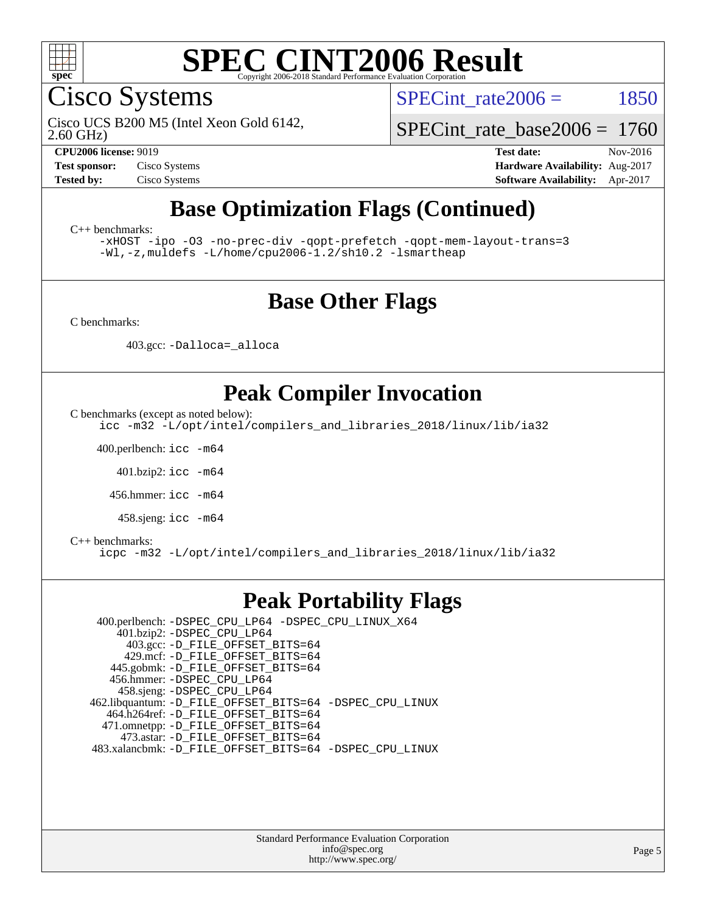

Cisco Systems

SPECint rate $2006 = 1850$ 

2.60 GHz) Cisco UCS B200 M5 (Intel Xeon Gold 6142,

[SPECint\\_rate\\_base2006 =](http://www.spec.org/auto/cpu2006/Docs/result-fields.html#SPECintratebase2006) 1760

**[CPU2006 license:](http://www.spec.org/auto/cpu2006/Docs/result-fields.html#CPU2006license)** 9019 **[Test date:](http://www.spec.org/auto/cpu2006/Docs/result-fields.html#Testdate)** Nov-2016 **[Test sponsor:](http://www.spec.org/auto/cpu2006/Docs/result-fields.html#Testsponsor)** Cisco Systems **[Hardware Availability:](http://www.spec.org/auto/cpu2006/Docs/result-fields.html#HardwareAvailability)** Aug-2017 **[Tested by:](http://www.spec.org/auto/cpu2006/Docs/result-fields.html#Testedby)** Cisco Systems **[Software Availability:](http://www.spec.org/auto/cpu2006/Docs/result-fields.html#SoftwareAvailability)** Apr-2017

# **[Base Optimization Flags \(Continued\)](http://www.spec.org/auto/cpu2006/Docs/result-fields.html#BaseOptimizationFlags)**

[C++ benchmarks:](http://www.spec.org/auto/cpu2006/Docs/result-fields.html#CXXbenchmarks)

[-xHOST](http://www.spec.org/cpu2006/results/res2017q4/cpu2006-20171211-50987.flags.html#user_CXXbase_f-xHost_e62ac3e528d1159ebbc7507f5617393f) [-ipo](http://www.spec.org/cpu2006/results/res2017q4/cpu2006-20171211-50987.flags.html#user_CXXbase_f-ipo) [-O3](http://www.spec.org/cpu2006/results/res2017q4/cpu2006-20171211-50987.flags.html#user_CXXbase_f-O3) [-no-prec-div](http://www.spec.org/cpu2006/results/res2017q4/cpu2006-20171211-50987.flags.html#user_CXXbase_f-no-prec-div) [-qopt-prefetch](http://www.spec.org/cpu2006/results/res2017q4/cpu2006-20171211-50987.flags.html#user_CXXbase_f-qopt-prefetch) [-qopt-mem-layout-trans=3](http://www.spec.org/cpu2006/results/res2017q4/cpu2006-20171211-50987.flags.html#user_CXXbase_f-qopt-mem-layout-trans_170f5be61cd2cedc9b54468c59262d5d) [-Wl,-z,muldefs](http://www.spec.org/cpu2006/results/res2017q4/cpu2006-20171211-50987.flags.html#user_CXXbase_link_force_multiple1_74079c344b956b9658436fd1b6dd3a8a) [-L/home/cpu2006-1.2/sh10.2 -lsmartheap](http://www.spec.org/cpu2006/results/res2017q4/cpu2006-20171211-50987.flags.html#user_CXXbase_SmartHeap_5706a66a2f6a219cbb238ac92a73101d)

### **[Base Other Flags](http://www.spec.org/auto/cpu2006/Docs/result-fields.html#BaseOtherFlags)**

[C benchmarks](http://www.spec.org/auto/cpu2006/Docs/result-fields.html#Cbenchmarks):

403.gcc: [-Dalloca=\\_alloca](http://www.spec.org/cpu2006/results/res2017q4/cpu2006-20171211-50987.flags.html#b403.gcc_baseEXTRA_CFLAGS_Dalloca_be3056838c12de2578596ca5467af7f3)

## **[Peak Compiler Invocation](http://www.spec.org/auto/cpu2006/Docs/result-fields.html#PeakCompilerInvocation)**

[C benchmarks \(except as noted below\)](http://www.spec.org/auto/cpu2006/Docs/result-fields.html#Cbenchmarksexceptasnotedbelow):

[icc -m32 -L/opt/intel/compilers\\_and\\_libraries\\_2018/linux/lib/ia32](http://www.spec.org/cpu2006/results/res2017q4/cpu2006-20171211-50987.flags.html#user_CCpeak_intel_icc_04f59596a08f358effe90d044cbb175f)

400.perlbench: [icc -m64](http://www.spec.org/cpu2006/results/res2017q4/cpu2006-20171211-50987.flags.html#user_peakCCLD400_perlbench_intel_icc_64bit_bda6cc9af1fdbb0edc3795bac97ada53)

401.bzip2: [icc -m64](http://www.spec.org/cpu2006/results/res2017q4/cpu2006-20171211-50987.flags.html#user_peakCCLD401_bzip2_intel_icc_64bit_bda6cc9af1fdbb0edc3795bac97ada53)

456.hmmer: [icc -m64](http://www.spec.org/cpu2006/results/res2017q4/cpu2006-20171211-50987.flags.html#user_peakCCLD456_hmmer_intel_icc_64bit_bda6cc9af1fdbb0edc3795bac97ada53)

458.sjeng: [icc -m64](http://www.spec.org/cpu2006/results/res2017q4/cpu2006-20171211-50987.flags.html#user_peakCCLD458_sjeng_intel_icc_64bit_bda6cc9af1fdbb0edc3795bac97ada53)

#### [C++ benchmarks:](http://www.spec.org/auto/cpu2006/Docs/result-fields.html#CXXbenchmarks)

[icpc -m32 -L/opt/intel/compilers\\_and\\_libraries\\_2018/linux/lib/ia32](http://www.spec.org/cpu2006/results/res2017q4/cpu2006-20171211-50987.flags.html#user_CXXpeak_intel_icpc_6c160d62a51f1e5feef3a5e8eb2cd87e)

#### **[Peak Portability Flags](http://www.spec.org/auto/cpu2006/Docs/result-fields.html#PeakPortabilityFlags)**

 400.perlbench: [-DSPEC\\_CPU\\_LP64](http://www.spec.org/cpu2006/results/res2017q4/cpu2006-20171211-50987.flags.html#b400.perlbench_peakCPORTABILITY_DSPEC_CPU_LP64) [-DSPEC\\_CPU\\_LINUX\\_X64](http://www.spec.org/cpu2006/results/res2017q4/cpu2006-20171211-50987.flags.html#b400.perlbench_peakCPORTABILITY_DSPEC_CPU_LINUX_X64) 401.bzip2: [-DSPEC\\_CPU\\_LP64](http://www.spec.org/cpu2006/results/res2017q4/cpu2006-20171211-50987.flags.html#suite_peakCPORTABILITY401_bzip2_DSPEC_CPU_LP64) 403.gcc: [-D\\_FILE\\_OFFSET\\_BITS=64](http://www.spec.org/cpu2006/results/res2017q4/cpu2006-20171211-50987.flags.html#user_peakPORTABILITY403_gcc_file_offset_bits_64_438cf9856305ebd76870a2c6dc2689ab) 429.mcf: [-D\\_FILE\\_OFFSET\\_BITS=64](http://www.spec.org/cpu2006/results/res2017q4/cpu2006-20171211-50987.flags.html#user_peakPORTABILITY429_mcf_file_offset_bits_64_438cf9856305ebd76870a2c6dc2689ab) 445.gobmk: [-D\\_FILE\\_OFFSET\\_BITS=64](http://www.spec.org/cpu2006/results/res2017q4/cpu2006-20171211-50987.flags.html#user_peakPORTABILITY445_gobmk_file_offset_bits_64_438cf9856305ebd76870a2c6dc2689ab) 456.hmmer: [-DSPEC\\_CPU\\_LP64](http://www.spec.org/cpu2006/results/res2017q4/cpu2006-20171211-50987.flags.html#suite_peakCPORTABILITY456_hmmer_DSPEC_CPU_LP64) 458.sjeng: [-DSPEC\\_CPU\\_LP64](http://www.spec.org/cpu2006/results/res2017q4/cpu2006-20171211-50987.flags.html#suite_peakCPORTABILITY458_sjeng_DSPEC_CPU_LP64) 462.libquantum: [-D\\_FILE\\_OFFSET\\_BITS=64](http://www.spec.org/cpu2006/results/res2017q4/cpu2006-20171211-50987.flags.html#user_peakPORTABILITY462_libquantum_file_offset_bits_64_438cf9856305ebd76870a2c6dc2689ab) [-DSPEC\\_CPU\\_LINUX](http://www.spec.org/cpu2006/results/res2017q4/cpu2006-20171211-50987.flags.html#b462.libquantum_peakCPORTABILITY_DSPEC_CPU_LINUX) 464.h264ref: [-D\\_FILE\\_OFFSET\\_BITS=64](http://www.spec.org/cpu2006/results/res2017q4/cpu2006-20171211-50987.flags.html#user_peakPORTABILITY464_h264ref_file_offset_bits_64_438cf9856305ebd76870a2c6dc2689ab) 471.omnetpp: [-D\\_FILE\\_OFFSET\\_BITS=64](http://www.spec.org/cpu2006/results/res2017q4/cpu2006-20171211-50987.flags.html#user_peakPORTABILITY471_omnetpp_file_offset_bits_64_438cf9856305ebd76870a2c6dc2689ab) 473.astar: [-D\\_FILE\\_OFFSET\\_BITS=64](http://www.spec.org/cpu2006/results/res2017q4/cpu2006-20171211-50987.flags.html#user_peakPORTABILITY473_astar_file_offset_bits_64_438cf9856305ebd76870a2c6dc2689ab) 483.xalancbmk: [-D\\_FILE\\_OFFSET\\_BITS=64](http://www.spec.org/cpu2006/results/res2017q4/cpu2006-20171211-50987.flags.html#user_peakPORTABILITY483_xalancbmk_file_offset_bits_64_438cf9856305ebd76870a2c6dc2689ab) [-DSPEC\\_CPU\\_LINUX](http://www.spec.org/cpu2006/results/res2017q4/cpu2006-20171211-50987.flags.html#b483.xalancbmk_peakCXXPORTABILITY_DSPEC_CPU_LINUX)

> Standard Performance Evaluation Corporation [info@spec.org](mailto:info@spec.org) <http://www.spec.org/>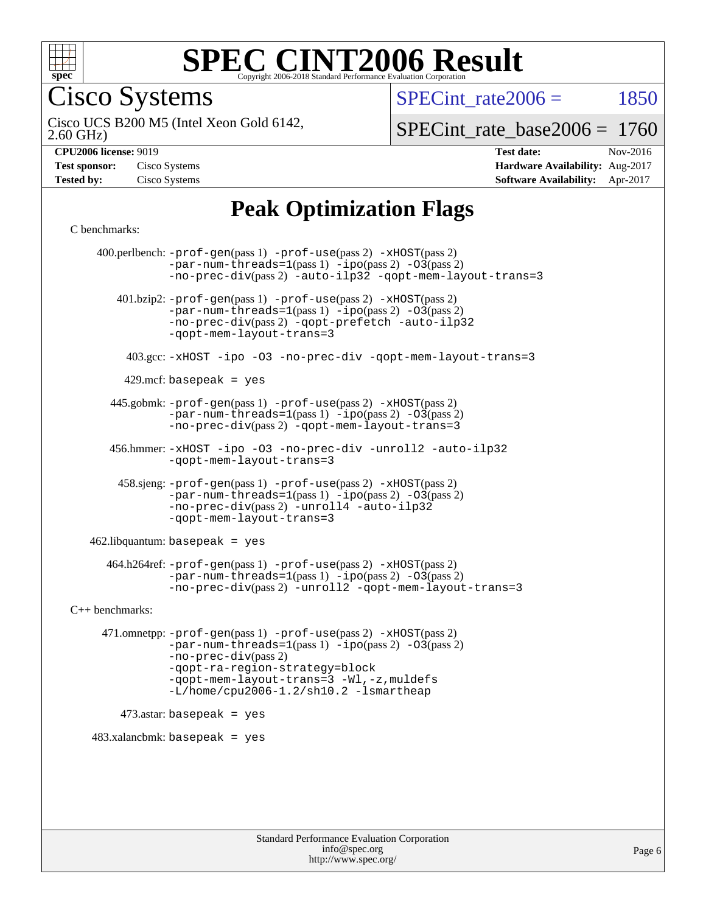

Cisco Systems

SPECint rate $2006 = 1850$ 

2.60 GHz) Cisco UCS B200 M5 (Intel Xeon Gold 6142,

[SPECint\\_rate\\_base2006 =](http://www.spec.org/auto/cpu2006/Docs/result-fields.html#SPECintratebase2006) 1760

| <b>Test sponsor:</b> | Cisco Systems |
|----------------------|---------------|
| <b>Tested by:</b>    | Cisco Systems |

**[CPU2006 license:](http://www.spec.org/auto/cpu2006/Docs/result-fields.html#CPU2006license)** 9019 **[Test date:](http://www.spec.org/auto/cpu2006/Docs/result-fields.html#Testdate)** Nov-2016 **[Hardware Availability:](http://www.spec.org/auto/cpu2006/Docs/result-fields.html#HardwareAvailability)** Aug-2017 **[Software Availability:](http://www.spec.org/auto/cpu2006/Docs/result-fields.html#SoftwareAvailability)** Apr-2017

# **[Peak Optimization Flags](http://www.spec.org/auto/cpu2006/Docs/result-fields.html#PeakOptimizationFlags)**

[C benchmarks](http://www.spec.org/auto/cpu2006/Docs/result-fields.html#Cbenchmarks):

 400.perlbench: [-prof-gen](http://www.spec.org/cpu2006/results/res2017q4/cpu2006-20171211-50987.flags.html#user_peakPASS1_CFLAGSPASS1_LDCFLAGS400_perlbench_prof_gen_e43856698f6ca7b7e442dfd80e94a8fc)(pass 1) [-prof-use](http://www.spec.org/cpu2006/results/res2017q4/cpu2006-20171211-50987.flags.html#user_peakPASS2_CFLAGSPASS2_LDCFLAGS400_perlbench_prof_use_bccf7792157ff70d64e32fe3e1250b55)(pass 2) [-xHOST](http://www.spec.org/cpu2006/results/res2017q4/cpu2006-20171211-50987.flags.html#user_peakPASS2_CFLAGSPASS2_LDCFLAGS400_perlbench_f-xHost_e62ac3e528d1159ebbc7507f5617393f)(pass 2)  $-par-num-threads=1(pass 1) -ipo(pass 2) -O3(pass 2)$  $-par-num-threads=1(pass 1) -ipo(pass 2) -O3(pass 2)$  $-par-num-threads=1(pass 1) -ipo(pass 2) -O3(pass 2)$  $-par-num-threads=1(pass 1) -ipo(pass 2) -O3(pass 2)$  $-par-num-threads=1(pass 1) -ipo(pass 2) -O3(pass 2)$  $-par-num-threads=1(pass 1) -ipo(pass 2) -O3(pass 2)$ [-no-prec-div](http://www.spec.org/cpu2006/results/res2017q4/cpu2006-20171211-50987.flags.html#user_peakPASS2_CFLAGSPASS2_LDCFLAGS400_perlbench_f-no-prec-div)(pass 2) [-auto-ilp32](http://www.spec.org/cpu2006/results/res2017q4/cpu2006-20171211-50987.flags.html#user_peakCOPTIMIZE400_perlbench_f-auto-ilp32) [-qopt-mem-layout-trans=3](http://www.spec.org/cpu2006/results/res2017q4/cpu2006-20171211-50987.flags.html#user_peakCOPTIMIZE400_perlbench_f-qopt-mem-layout-trans_170f5be61cd2cedc9b54468c59262d5d) 401.bzip2: [-prof-gen](http://www.spec.org/cpu2006/results/res2017q4/cpu2006-20171211-50987.flags.html#user_peakPASS1_CFLAGSPASS1_LDCFLAGS401_bzip2_prof_gen_e43856698f6ca7b7e442dfd80e94a8fc)(pass 1) [-prof-use](http://www.spec.org/cpu2006/results/res2017q4/cpu2006-20171211-50987.flags.html#user_peakPASS2_CFLAGSPASS2_LDCFLAGS401_bzip2_prof_use_bccf7792157ff70d64e32fe3e1250b55)(pass 2) [-xHOST](http://www.spec.org/cpu2006/results/res2017q4/cpu2006-20171211-50987.flags.html#user_peakPASS2_CFLAGSPASS2_LDCFLAGS401_bzip2_f-xHost_e62ac3e528d1159ebbc7507f5617393f)(pass 2)  $-par-num-threads=1(pass 1) -ipo(pass 2) -O3(pass 2)$  $-par-num-threads=1(pass 1) -ipo(pass 2) -O3(pass 2)$  $-par-num-threads=1(pass 1) -ipo(pass 2) -O3(pass 2)$  $-par-num-threads=1(pass 1) -ipo(pass 2) -O3(pass 2)$  $-par-num-threads=1(pass 1) -ipo(pass 2) -O3(pass 2)$  $-par-num-threads=1(pass 1) -ipo(pass 2) -O3(pass 2)$ [-no-prec-div](http://www.spec.org/cpu2006/results/res2017q4/cpu2006-20171211-50987.flags.html#user_peakPASS2_CFLAGSPASS2_LDCFLAGS401_bzip2_f-no-prec-div)(pass 2) [-qopt-prefetch](http://www.spec.org/cpu2006/results/res2017q4/cpu2006-20171211-50987.flags.html#user_peakCOPTIMIZE401_bzip2_f-qopt-prefetch) [-auto-ilp32](http://www.spec.org/cpu2006/results/res2017q4/cpu2006-20171211-50987.flags.html#user_peakCOPTIMIZE401_bzip2_f-auto-ilp32) [-qopt-mem-layout-trans=3](http://www.spec.org/cpu2006/results/res2017q4/cpu2006-20171211-50987.flags.html#user_peakCOPTIMIZE401_bzip2_f-qopt-mem-layout-trans_170f5be61cd2cedc9b54468c59262d5d) 403.gcc: [-xHOST](http://www.spec.org/cpu2006/results/res2017q4/cpu2006-20171211-50987.flags.html#user_peakOPTIMIZE403_gcc_f-xHost_e62ac3e528d1159ebbc7507f5617393f) [-ipo](http://www.spec.org/cpu2006/results/res2017q4/cpu2006-20171211-50987.flags.html#user_peakOPTIMIZE403_gcc_f-ipo) [-O3](http://www.spec.org/cpu2006/results/res2017q4/cpu2006-20171211-50987.flags.html#user_peakOPTIMIZE403_gcc_f-O3) [-no-prec-div](http://www.spec.org/cpu2006/results/res2017q4/cpu2006-20171211-50987.flags.html#user_peakOPTIMIZE403_gcc_f-no-prec-div) [-qopt-mem-layout-trans=3](http://www.spec.org/cpu2006/results/res2017q4/cpu2006-20171211-50987.flags.html#user_peakCOPTIMIZE403_gcc_f-qopt-mem-layout-trans_170f5be61cd2cedc9b54468c59262d5d)  $429$ .mcf: basepeak = yes 445.gobmk: [-prof-gen](http://www.spec.org/cpu2006/results/res2017q4/cpu2006-20171211-50987.flags.html#user_peakPASS1_CFLAGSPASS1_LDCFLAGS445_gobmk_prof_gen_e43856698f6ca7b7e442dfd80e94a8fc)(pass 1) [-prof-use](http://www.spec.org/cpu2006/results/res2017q4/cpu2006-20171211-50987.flags.html#user_peakPASS2_CFLAGSPASS2_LDCFLAGSPASS2_LDFLAGS445_gobmk_prof_use_bccf7792157ff70d64e32fe3e1250b55)(pass 2) [-xHOST](http://www.spec.org/cpu2006/results/res2017q4/cpu2006-20171211-50987.flags.html#user_peakPASS2_CFLAGSPASS2_LDCFLAGSPASS2_LDFLAGS445_gobmk_f-xHost_e62ac3e528d1159ebbc7507f5617393f)(pass 2)  $-par-num-threads=1(pass 1) -ipo(pass 2) -O3(pass 2)$  $-par-num-threads=1(pass 1) -ipo(pass 2) -O3(pass 2)$  $-par-num-threads=1(pass 1) -ipo(pass 2) -O3(pass 2)$  $-par-num-threads=1(pass 1) -ipo(pass 2) -O3(pass 2)$  $-par-num-threads=1(pass 1) -ipo(pass 2) -O3(pass 2)$  $-par-num-threads=1(pass 1) -ipo(pass 2) -O3(pass 2)$ [-no-prec-div](http://www.spec.org/cpu2006/results/res2017q4/cpu2006-20171211-50987.flags.html#user_peakPASS2_LDCFLAGS445_gobmk_f-no-prec-div)(pass 2) [-qopt-mem-layout-trans=3](http://www.spec.org/cpu2006/results/res2017q4/cpu2006-20171211-50987.flags.html#user_peakCOPTIMIZE445_gobmk_f-qopt-mem-layout-trans_170f5be61cd2cedc9b54468c59262d5d) 456.hmmer: [-xHOST](http://www.spec.org/cpu2006/results/res2017q4/cpu2006-20171211-50987.flags.html#user_peakOPTIMIZE456_hmmer_f-xHost_e62ac3e528d1159ebbc7507f5617393f) [-ipo](http://www.spec.org/cpu2006/results/res2017q4/cpu2006-20171211-50987.flags.html#user_peakOPTIMIZE456_hmmer_f-ipo) [-O3](http://www.spec.org/cpu2006/results/res2017q4/cpu2006-20171211-50987.flags.html#user_peakOPTIMIZE456_hmmer_f-O3) [-no-prec-div](http://www.spec.org/cpu2006/results/res2017q4/cpu2006-20171211-50987.flags.html#user_peakOPTIMIZE456_hmmer_f-no-prec-div) [-unroll2](http://www.spec.org/cpu2006/results/res2017q4/cpu2006-20171211-50987.flags.html#user_peakCOPTIMIZE456_hmmer_f-unroll_784dae83bebfb236979b41d2422d7ec2) [-auto-ilp32](http://www.spec.org/cpu2006/results/res2017q4/cpu2006-20171211-50987.flags.html#user_peakCOPTIMIZE456_hmmer_f-auto-ilp32) [-qopt-mem-layout-trans=3](http://www.spec.org/cpu2006/results/res2017q4/cpu2006-20171211-50987.flags.html#user_peakCOPTIMIZE456_hmmer_f-qopt-mem-layout-trans_170f5be61cd2cedc9b54468c59262d5d) 458.sjeng: [-prof-gen](http://www.spec.org/cpu2006/results/res2017q4/cpu2006-20171211-50987.flags.html#user_peakPASS1_CFLAGSPASS1_LDCFLAGS458_sjeng_prof_gen_e43856698f6ca7b7e442dfd80e94a8fc)(pass 1) [-prof-use](http://www.spec.org/cpu2006/results/res2017q4/cpu2006-20171211-50987.flags.html#user_peakPASS2_CFLAGSPASS2_LDCFLAGS458_sjeng_prof_use_bccf7792157ff70d64e32fe3e1250b55)(pass 2) [-xHOST](http://www.spec.org/cpu2006/results/res2017q4/cpu2006-20171211-50987.flags.html#user_peakPASS2_CFLAGSPASS2_LDCFLAGS458_sjeng_f-xHost_e62ac3e528d1159ebbc7507f5617393f)(pass 2)  $-par-num-threads=1(pass 1) -ipo(pass 2) -O3(pass 2)$  $-par-num-threads=1(pass 1) -ipo(pass 2) -O3(pass 2)$  $-par-num-threads=1(pass 1) -ipo(pass 2) -O3(pass 2)$  $-par-num-threads=1(pass 1) -ipo(pass 2) -O3(pass 2)$  $-par-num-threads=1(pass 1) -ipo(pass 2) -O3(pass 2)$  $-par-num-threads=1(pass 1) -ipo(pass 2) -O3(pass 2)$ [-no-prec-div](http://www.spec.org/cpu2006/results/res2017q4/cpu2006-20171211-50987.flags.html#user_peakPASS2_CFLAGSPASS2_LDCFLAGS458_sjeng_f-no-prec-div)(pass 2) [-unroll4](http://www.spec.org/cpu2006/results/res2017q4/cpu2006-20171211-50987.flags.html#user_peakCOPTIMIZE458_sjeng_f-unroll_4e5e4ed65b7fd20bdcd365bec371b81f) [-auto-ilp32](http://www.spec.org/cpu2006/results/res2017q4/cpu2006-20171211-50987.flags.html#user_peakCOPTIMIZE458_sjeng_f-auto-ilp32) [-qopt-mem-layout-trans=3](http://www.spec.org/cpu2006/results/res2017q4/cpu2006-20171211-50987.flags.html#user_peakCOPTIMIZE458_sjeng_f-qopt-mem-layout-trans_170f5be61cd2cedc9b54468c59262d5d)  $462$ .libquantum: basepeak = yes 464.h264ref: [-prof-gen](http://www.spec.org/cpu2006/results/res2017q4/cpu2006-20171211-50987.flags.html#user_peakPASS1_CFLAGSPASS1_LDCFLAGS464_h264ref_prof_gen_e43856698f6ca7b7e442dfd80e94a8fc)(pass 1) [-prof-use](http://www.spec.org/cpu2006/results/res2017q4/cpu2006-20171211-50987.flags.html#user_peakPASS2_CFLAGSPASS2_LDCFLAGS464_h264ref_prof_use_bccf7792157ff70d64e32fe3e1250b55)(pass 2) [-xHOST](http://www.spec.org/cpu2006/results/res2017q4/cpu2006-20171211-50987.flags.html#user_peakPASS2_CFLAGSPASS2_LDCFLAGS464_h264ref_f-xHost_e62ac3e528d1159ebbc7507f5617393f)(pass 2)  $-par-num-threads=1(pass 1) -ipo(pass 2) -O3(pass 2)$  $-par-num-threads=1(pass 1) -ipo(pass 2) -O3(pass 2)$  $-par-num-threads=1(pass 1) -ipo(pass 2) -O3(pass 2)$  $-par-num-threads=1(pass 1) -ipo(pass 2) -O3(pass 2)$  $-par-num-threads=1(pass 1) -ipo(pass 2) -O3(pass 2)$  $-par-num-threads=1(pass 1) -ipo(pass 2) -O3(pass 2)$ [-no-prec-div](http://www.spec.org/cpu2006/results/res2017q4/cpu2006-20171211-50987.flags.html#user_peakPASS2_CFLAGSPASS2_LDCFLAGS464_h264ref_f-no-prec-div)(pass 2) [-unroll2](http://www.spec.org/cpu2006/results/res2017q4/cpu2006-20171211-50987.flags.html#user_peakCOPTIMIZE464_h264ref_f-unroll_784dae83bebfb236979b41d2422d7ec2) [-qopt-mem-layout-trans=3](http://www.spec.org/cpu2006/results/res2017q4/cpu2006-20171211-50987.flags.html#user_peakCOPTIMIZE464_h264ref_f-qopt-mem-layout-trans_170f5be61cd2cedc9b54468c59262d5d) [C++ benchmarks:](http://www.spec.org/auto/cpu2006/Docs/result-fields.html#CXXbenchmarks) 471.omnetpp: [-prof-gen](http://www.spec.org/cpu2006/results/res2017q4/cpu2006-20171211-50987.flags.html#user_peakPASS1_CXXFLAGSPASS1_LDCXXFLAGS471_omnetpp_prof_gen_e43856698f6ca7b7e442dfd80e94a8fc)(pass 1) [-prof-use](http://www.spec.org/cpu2006/results/res2017q4/cpu2006-20171211-50987.flags.html#user_peakPASS2_CXXFLAGSPASS2_LDCXXFLAGS471_omnetpp_prof_use_bccf7792157ff70d64e32fe3e1250b55)(pass 2) [-xHOST](http://www.spec.org/cpu2006/results/res2017q4/cpu2006-20171211-50987.flags.html#user_peakPASS2_CXXFLAGSPASS2_LDCXXFLAGS471_omnetpp_f-xHost_e62ac3e528d1159ebbc7507f5617393f)(pass 2)  $-par-num-threads=1(pass 1) -ipo(pass 2) -O3(pass 2)$  $-par-num-threads=1(pass 1) -ipo(pass 2) -O3(pass 2)$  $-par-num-threads=1(pass 1) -ipo(pass 2) -O3(pass 2)$  $-par-num-threads=1(pass 1) -ipo(pass 2) -O3(pass 2)$  $-par-num-threads=1(pass 1) -ipo(pass 2) -O3(pass 2)$  $-par-num-threads=1(pass 1) -ipo(pass 2) -O3(pass 2)$ [-no-prec-div](http://www.spec.org/cpu2006/results/res2017q4/cpu2006-20171211-50987.flags.html#user_peakPASS2_CXXFLAGSPASS2_LDCXXFLAGS471_omnetpp_f-no-prec-div)(pass 2) [-qopt-ra-region-strategy=block](http://www.spec.org/cpu2006/results/res2017q4/cpu2006-20171211-50987.flags.html#user_peakCXXOPTIMIZE471_omnetpp_f-qopt-ra-region-strategy_430aa8f7c220cbde92ae827fa8d9be32)  [-qopt-mem-layout-trans=3](http://www.spec.org/cpu2006/results/res2017q4/cpu2006-20171211-50987.flags.html#user_peakCXXOPTIMIZE471_omnetpp_f-qopt-mem-layout-trans_170f5be61cd2cedc9b54468c59262d5d) [-Wl,-z,muldefs](http://www.spec.org/cpu2006/results/res2017q4/cpu2006-20171211-50987.flags.html#user_peakEXTRA_LDFLAGS471_omnetpp_link_force_multiple1_74079c344b956b9658436fd1b6dd3a8a) [-L/home/cpu2006-1.2/sh10.2 -lsmartheap](http://www.spec.org/cpu2006/results/res2017q4/cpu2006-20171211-50987.flags.html#user_peakEXTRA_LIBS471_omnetpp_SmartHeap_5706a66a2f6a219cbb238ac92a73101d)  $473$ .astar: basepeak = yes  $483.xalanchmk: basepeak = yes$